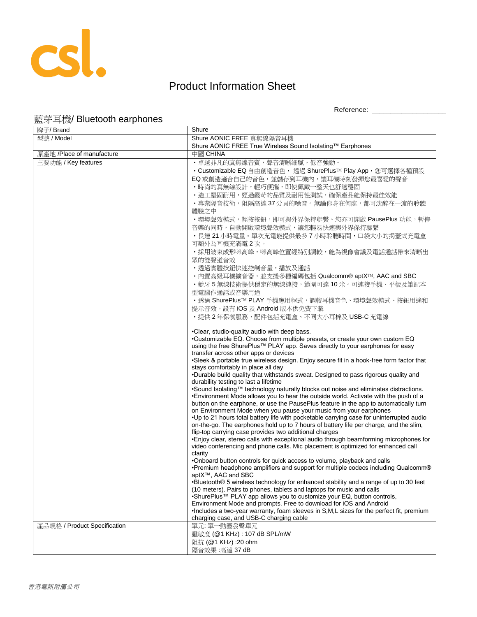

## Product Information Sheet

Reference: \_\_\_\_\_\_\_\_\_\_\_\_\_\_\_\_\_\_\_\_

## 藍芽耳機/ Bluetooth earphones

| 牌子/ Brand                    | Shure                                                                                                                                                                             |
|------------------------------|-----------------------------------------------------------------------------------------------------------------------------------------------------------------------------------|
| 型號 / Model                   | Shure AONIC FREE 真無線隔音耳機                                                                                                                                                          |
|                              | Shure AONIC FREE True Wireless Sound Isolating™ Earphones                                                                                                                         |
| 原產地 /Place of manufacture    | 中國 CHINA                                                                                                                                                                          |
| 主要功能 / Key features          | ・卓越非凡的真無線音質,聲音清晰細膩,低音強勁。                                                                                                                                                          |
|                              | • Customizable EQ 自由創造音色, 透過 ShurePlus™ Play App, 您可選擇各種預設                                                                                                                        |
|                              | EQ 或創造適合自己的音色,並儲存到耳機內,讓耳機時刻發揮您最喜愛的聲音                                                                                                                                              |
|                              | •時尚的真無線設計,輕巧便攜,即使佩戴一整天也舒適穩固                                                                                                                                                       |
|                              | • 造工堅固耐用, 經過嚴苛的品質及耐用性測試, 確保產品能保持最佳效能                                                                                                                                              |
|                              | ・專業隔音技術,阻隔高達 37 分貝的噪音。無論你身在何處,都可沈醉在一流的聆聽                                                                                                                                          |
|                              | 體驗之中                                                                                                                                                                              |
|                              | ・環境聲效模式,輕按按鈕,即可與外界保持聯繫。您亦可開啟 PausePlus 功能,暫停                                                                                                                                      |
|                              | 音樂的同時,自動開啟環境聲效模式,讓您輕易快速與外界保持聯繫                                                                                                                                                    |
|                              | ・長達 21 小時電量。單次充電能提供最多 7 小時聆聽時間,口袋大小的揭蓋式充電盒                                                                                                                                        |
|                              | 可額外為耳機充滿電2次。                                                                                                                                                                      |
|                              | ・採用波束成形咪高峰,咪高峰位置經特別調較,能為視像會議及電話通話帶來清晰出                                                                                                                                            |
|                              | 眾的雙聲道音效                                                                                                                                                                           |
|                              | ·透過實體按鈕快速控制音量,播放及通話                                                                                                                                                               |
|                              | · 內置高級耳機擴音器,並支援多種編碼包括 Qualcomm® aptX™, AAC and SBC                                                                                                                                |
|                              | ·藍牙5無線技術提供穩定的無線連接,範圍可達10米。可連接手機、平板及筆記本                                                                                                                                            |
|                              | 型電腦作通話或音樂用途                                                                                                                                                                       |
|                              | ・透過 ShurePlus™ PLAY 手機應用程式,調較耳機音色、環境聲效模式、按鈕用途和                                                                                                                                    |
|                              | 提示音效。設有 iOS 及 Android 版本供免費下載                                                                                                                                                     |
|                              | ・提供 2 年保養服務,配件包括充電盒、不同大小耳棉及 USB-C 充電線                                                                                                                                             |
|                              |                                                                                                                                                                                   |
|                              | •Clear, studio-quality audio with deep bass.                                                                                                                                      |
|                              | •Customizable EQ. Choose from multiple presets, or create your own custom EQ                                                                                                      |
|                              | using the free ShurePlus™ PLAY app. Saves directly to your earphones for easy                                                                                                     |
|                              | transfer across other apps or devices<br>•Sleek & portable true wireless design. Enjoy secure fit in a hook-free form factor that                                                 |
|                              | stays comfortably in place all day                                                                                                                                                |
|                              | .Durable build quality that withstands sweat. Designed to pass rigorous quality and                                                                                               |
|                              | durability testing to last a lifetime                                                                                                                                             |
|                              | .Sound Isolating™ technology naturally blocks out noise and eliminates distractions.                                                                                              |
|                              | •Environment Mode allows you to hear the outside world. Activate with the push of a                                                                                               |
|                              | button on the earphone, or use the PausePlus feature in the app to automatically turn                                                                                             |
|                              | on Environment Mode when you pause your music from your earphones                                                                                                                 |
|                              | •Up to 21 hours total battery life with pocketable carrying case for uninterrupted audio<br>on-the-go. The earphones hold up to 7 hours of battery life per charge, and the slim, |
|                              | flip-top carrying case provides two additional charges                                                                                                                            |
|                              | • Enjoy clear, stereo calls with exceptional audio through beamforming microphones for                                                                                            |
|                              | video conferencing and phone calls. Mic placement is optimized for enhanced call                                                                                                  |
|                              | clarity                                                                                                                                                                           |
|                              | .Onboard button controls for quick access to volume, playback and calls                                                                                                           |
|                              | •Premium headphone amplifiers and support for multiple codecs including Qualcomm®                                                                                                 |
|                              | aptX™, AAC and SBC<br>•Bluetooth® 5 wireless technology for enhanced stability and a range of up to 30 feet                                                                       |
|                              | (10 meters). Pairs to phones, tablets and laptops for music and calls                                                                                                             |
|                              | •ShurePlus™ PLAY app allows you to customize your EQ, button controls,                                                                                                            |
|                              | Environment Mode and prompts. Free to download for iOS and Android                                                                                                                |
|                              | . Includes a two-year warranty, foam sleeves in S, M, L sizes for the perfect fit, premium                                                                                        |
|                              | charging case, and USB-C charging cable                                                                                                                                           |
| 產品規格 / Product Specification | 單元: 單一動圈發聲單元                                                                                                                                                                      |
|                              | 靈敏度 (@1 KHz): 107 dB SPL/mW                                                                                                                                                       |
|                              | 阻抗 (@1 KHz): 20 ohm                                                                                                                                                               |
|                              | 隔音效果:高達 37 dB                                                                                                                                                                     |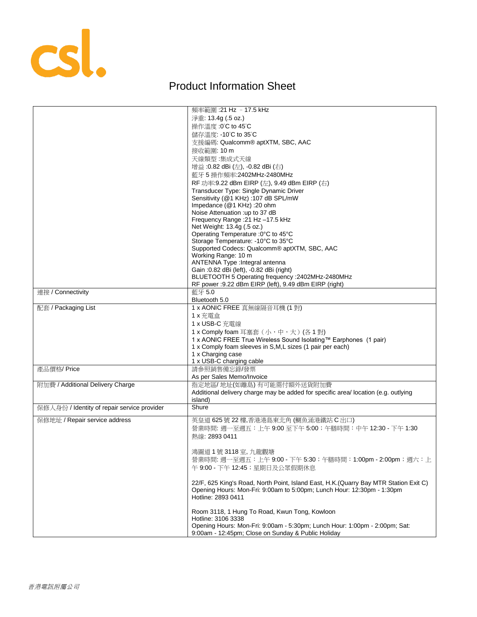

## Product Information Sheet

|                                             | 頻率範圍: 21 Hz - 17.5 kHz                                                               |
|---------------------------------------------|--------------------------------------------------------------------------------------|
|                                             | 淨重: 13.4g (.5 oz.)                                                                   |
|                                             | 操作溫度:0°C to 45°C                                                                     |
|                                             | 儲存溫度: -10°C to 35°C                                                                  |
|                                             | 支援編碼: Qualcomm® aptXTM, SBC, AAC                                                     |
|                                             | 接收範圍: 10 m                                                                           |
|                                             | 天線類型:集成式天線                                                                           |
|                                             | 增益:0.82 dBi (左), -0.82 dBi (右)                                                       |
|                                             | 藍牙 5 操作頻率: 2402MHz-2480MHz                                                           |
|                                             | RF 功率:9.22 dBm EIRP (左), 9.49 dBm EIRP (右)                                           |
|                                             |                                                                                      |
|                                             | Transducer Type: Single Dynamic Driver<br>Sensitivity (@1 KHz): 107 dB SPL/mW        |
|                                             | Impedance (@1 KHz): 20 ohm                                                           |
|                                             | Noise Attenuation :up to 37 dB                                                       |
|                                             | Frequency Range : 21 Hz -17.5 kHz                                                    |
|                                             | Net Weight: 13.4g (.5 oz.)                                                           |
|                                             | Operating Temperature : 0°C to 45°C                                                  |
|                                             | Storage Temperature: -10°C to 35°C                                                   |
|                                             | Supported Codecs: Qualcomm® aptXTM, SBC, AAC                                         |
|                                             | Working Range: 10 m                                                                  |
|                                             | ANTENNA Type : Integral antenna                                                      |
|                                             | Gain : 0.82 dBi (left), -0.82 dBi (right)                                            |
|                                             | BLUETOOTH 5 Operating frequency : 2402MHz-2480MHz                                    |
|                                             | RF power : 9.22 dBm EIRP (left), 9.49 dBm EIRP (right)                               |
| 連接 / Connectivity                           | 藍牙 5.0                                                                               |
|                                             | Bluetooth 5.0                                                                        |
| 配套 / Packaging List                         | 1 x AONIC FREE 真無線隔音耳機 (1 對)                                                         |
|                                             | 1 x 充電盒                                                                              |
|                                             | 1 x USB-C 充電線                                                                        |
|                                             | 1 x Comply foam 耳塞套 (小,中,大) (各1對)                                                    |
|                                             | 1 x AONIC FREE True Wireless Sound Isolating™ Earphones (1 pair)                     |
|                                             | 1 x Comply foam sleeves in S,M,L sizes (1 pair per each)                             |
|                                             | 1 x Charging case                                                                    |
|                                             | 1 x USB-C charging cable                                                             |
| 產品價格/Price                                  | 請參照銷售備忘錄/發票                                                                          |
|                                             | As per Sales Memo/Invoice                                                            |
| 附加費 / Additional Delivery Charge            | 指定地區/地址(如離島)有可能需付額外送貨附加費                                                             |
|                                             | Additional delivery charge may be added for specific area/location (e.g. outlying    |
|                                             | island)                                                                              |
| 保修人身份 / Identity of repair service provider | Shure                                                                                |
|                                             |                                                                                      |
| 保修地址 / Repair service address               | 英皇道 625號 22 樓,香港港島東北角 (鰂魚涌港鐵站 C 出口)                                                  |
|                                             | 營業時間: 週一至週五:上午 9:00 至下午 5:00;午膳時間:中午 12:30 - 下午 1:30                                 |
|                                             | 熱線: 2893 0411                                                                        |
|                                             |                                                                                      |
|                                             | 鴻圖道 1號 3118 室, 九龍觀塘                                                                  |
|                                             | 營業時間: 週一至週五: 上午 9:00 - 下午 5:30; 午膳時間: 1:00pm - 2:00pm; 週六: 上                         |
|                                             | 午 9:00 - 下午 12:45; 星期日及公眾假期休息                                                        |
|                                             |                                                                                      |
|                                             | 22/F, 625 King's Road, North Point, Island East, H.K.(Quarry Bay MTR Station Exit C) |
|                                             | Opening Hours: Mon-Fri: 9:00am to 5:00pm; Lunch Hour: 12:30pm - 1:30pm               |
|                                             | Hotline: 2893 0411                                                                   |
|                                             |                                                                                      |
|                                             | Room 3118, 1 Hung To Road, Kwun Tong, Kowloon                                        |
|                                             | Hotline: 3106 3338                                                                   |
|                                             | Opening Hours: Mon-Fri: 9:00am - 5:30pm; Lunch Hour: 1:00pm - 2:00pm; Sat:           |
|                                             | 9:00am - 12:45pm; Close on Sunday & Public Holiday                                   |